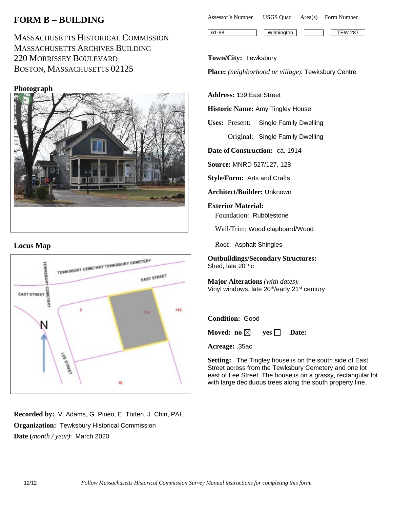# **FORM B** − **BUILDING**

MASSACHUSETTS HISTORICAL COMMISSION MASSACHUSETTS ARCHIVES BUILDING 220 MORRISSEY BOULEVARD BOSTON, MASSACHUSETTS 02125

**Photograph**



## **Locus Map**



**Recorded by:** V. Adams, G. Pineo, E. Totten, J. Chin, PAL **Organization:** Tewksbury Historical Commission **Date** (*month / year)*: March 2020

| Assessor's Number | <b>USGS</b> Ouad | Area(s) | Form Number    |
|-------------------|------------------|---------|----------------|
|                   |                  |         |                |
| $61-68$           | Wilmington       |         | <b>TEW.287</b> |

#### **Town/City:** Tewksbury

**Place:** *(neighborhood or village)*: Tewksbury Centre

**Address:** 139 East Street

**Historic Name:** Amy Tingley House

**Uses:** Present: Single Family Dwelling Original: Single Family Dwelling

**Date of Construction:** ca. 1914

**Source:** MNRD 527/127, 128

**Style/Form:** Arts and Crafts

**Architect/Builder:** Unknown

**Exterior Material:** Foundation: Rubblestone

Wall/Trim: Wood clapboard/Wood

Roof: Asphalt Shingles

**Outbuildings/Secondary Structures:** Shed, late 20<sup>th</sup> c

**Major Alterations** *(with dates):* Vinyl windows, late 20th/early 21st century

#### **Condition:** Good

**Moved:** no $\boxtimes$  **yes**  $\Box$  **Date:** 

**Acreage:** .35ac

**Setting:** The Tingley house is on the south side of East Street across from the Tewksbury Cemetery and one lot east of Lee Street. The house is on a grassy, rectangular lot with large deciduous trees along the south property line.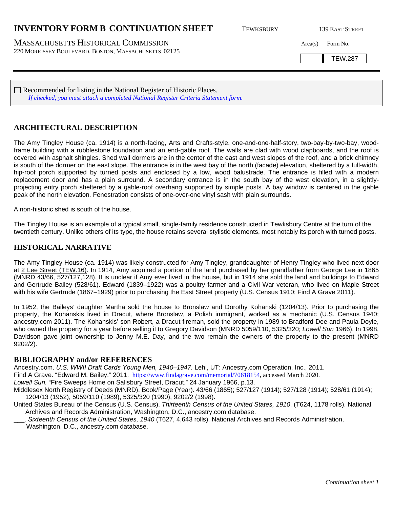# **INVENTORY FORM B CONTINUATION SHEET** TEWKSBURY 139 EAST STREET

MASSACHUSETTS HISTORICAL COMMISSION Area(s) Form No. 220 MORRISSEY BOULEVARD, BOSTON, MASSACHUSETTS 02125

TEW.287

 $\Box$  Recommended for listing in the National Register of Historic Places. *If checked, you must attach a completed National Register Criteria Statement form.*

### **ARCHITECTURAL DESCRIPTION**

The Amy Tingley House (ca. 1914) is a north-facing, Arts and Crafts-style, one-and-one-half-story, two-bay-by-two-bay, woodframe building with a rubblestone foundation and an end-gable roof. The walls are clad with wood clapboards, and the roof is covered with asphalt shingles. Shed wall dormers are in the center of the east and west slopes of the roof, and a brick chimney is south of the dormer on the east slope. The entrance is in the west bay of the north (facade) elevation, sheltered by a full-width, hip-roof porch supported by turned posts and enclosed by a low, wood balustrade. The entrance is filled with a modern replacement door and has a plain surround. A secondary entrance is in the south bay of the west elevation, in a slightlyprojecting entry porch sheltered by a gable-roof overhang supported by simple posts. A bay window is centered in the gable peak of the north elevation. Fenestration consists of one-over-one vinyl sash with plain surrounds.

A non-historic shed is south of the house.

The Tingley House is an example of a typical small, single-family residence constructed in Tewksbury Centre at the turn of the twentieth century. Unlike others of its type, the house retains several stylistic elements, most notably its porch with turned posts.

#### **HISTORICAL NARRATIVE**

The Amy Tingley House (ca. 1914) was likely constructed for Amy Tingley, granddaughter of Henry Tingley who lived next door at 2 Lee Street (TEW.16). In 1914, Amy acquired a portion of the land purchased by her grandfather from George Lee in 1865 (MNRD 43/66, 527/127,128). It is unclear if Amy ever lived in the house, but in 1914 she sold the land and buildings to Edward and Gertrude Bailey (528/61). Edward (1839–1922) was a poultry farmer and a Civil War veteran, who lived on Maple Street with his wife Gertrude (1867–1929) prior to purchasing the East Street property (U.S. Census 1910; Find A Grave 2011).

In 1952, the Baileys' daughter Martha sold the house to Bronslaw and Dorothy Kohanski (1204/13). Prior to purchasing the property, the Kohanskis lived in Dracut, where Bronslaw, a Polish immigrant, worked as a mechanic (U.S. Census 1940; ancestry.com 2011). The Kohanskis' son Robert, a Dracut fireman, sold the property in 1989 to Bradford Dee and Paula Doyle, who owned the property for a year before selling it to Gregory Davidson (MNRD 5059/110, 5325/320; *Lowell Sun* 1966). In 1998, Davidson gave joint ownership to Jenny M.E. Day, and the two remain the owners of the property to the present (MNRD 9202/2).

#### **BIBLIOGRAPHY and/or REFERENCES**

Ancestry.com. *U.S. WWII Draft Cards Young Men, 1940–1947.* Lehi, UT: Ancestry.com Operation, Inc., 2011. Find A Grave. "Edward M. Bailey." 2011. [https://www.findagrave.com/memorial/70618154,](https://www.findagrave.com/memorial/70618154) accessed March 2020. *Lowell Sun.* "Fire Sweeps Home on Salisbury Street, Dracut." 24 January 1966, p.13.

Middlesex North Registry of Deeds (MNRD). Book/Page (Year). 43/66 (1865); 527/127 (1914); 527/128 (1914); 528/61 (1914); 1204/13 (1952); 5059/110 (1989); 5325/320 (1990); 9202/2 (1998).

United States Bureau of the Census (U.S. Census). *Thirteenth Census of the United States, 1910*. (T624, 1178 rolls). National Archives and Records Administration, Washington, D.C., ancestry.com database.

\_\_\_. *Sixteenth Census of the United States, 1940* (T627, 4,643 rolls). National Archives and Records Administration, Washington, D.C., ancestry.com database.